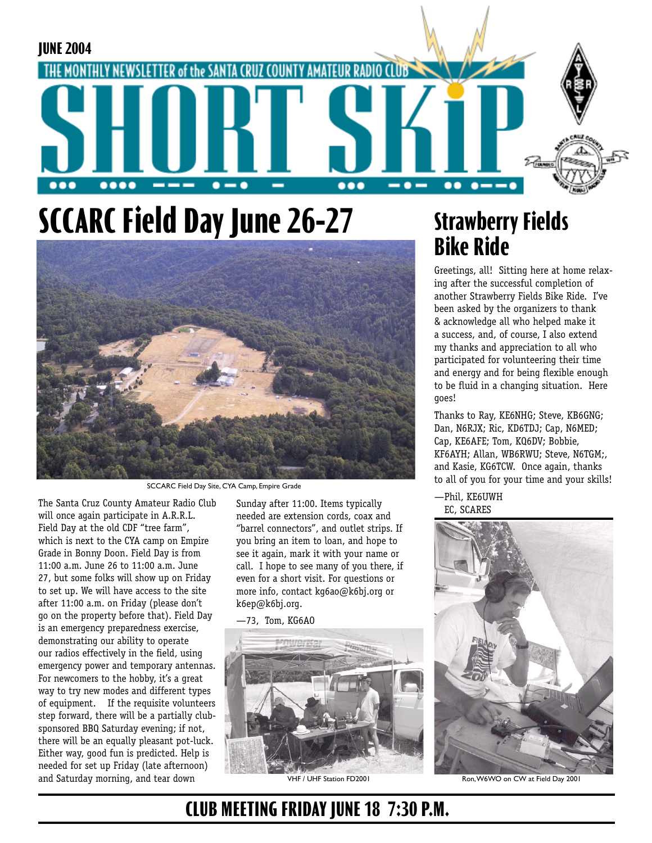

## **SCCARC Field Day June 26-27**



SCCARC Field Day Site, CYA Camp, Empire Grade

The Santa Cruz County Amateur Radio Club will once again participate in A.R.R.L. Field Day at the old CDF "tree farm", which is next to the CYA camp on Empire Grade in Bonny Doon. Field Day is from 11:00 a.m. June 26 to 11:00 a.m. June 27, but some folks will show up on Friday to set up. We will have access to the site after 11:00 a.m. on Friday (please don't go on the property before that). Field Day is an emergency preparedness exercise, demonstrating our ability to operate our radios effectively in the field, using emergency power and temporary antennas. For newcomers to the hobby, it's a great way to try new modes and different types of equipment. If the requisite volunteers step forward, there will be a partially clubsponsored BBQ Saturday evening; if not, there will be an equally pleasant pot-luck. Either way, good fun is predicted. Help is needed for set up Friday (late afternoon) and Saturday morning, and tear down

Sunday after 11:00. Items typically needed are extension cords, coax and "barrel connectors", and outlet strips. If you bring an item to loan, and hope to see it again, mark it with your name or call. I hope to see many of you there, if even for a short visit. For questions or more info, contact kg6ao@k6bj.org or k6ep@k6bj.org.

—73, Tom, KG6AO



#### **Strawberry Fields Bike Ride**

Greetings, all! Sitting here at home relaxing after the successful completion of another Strawberry Fields Bike Ride. I've been asked by the organizers to thank & acknowledge all who helped make it a success, and, of course, I also extend my thanks and appreciation to all who participated for volunteering their time and energy and for being flexible enough to be fluid in a changing situation. Here goes!

Thanks to Ray, KE6NHG; Steve, KB6GNG; Dan, N6RJX; Ric, KD6TDJ; Cap, N6MED; Cap, KE6AFE; Tom, KQ6DV; Bobbie, KF6AYH; Allan, WB6RWU; Steve, N6TGM;, and Kasie, KG6TCW. Once again, thanks to all of you for your time and your skills!

—Phil, KE6UWH EC, SCARES



VHF / UHF Station FD2001 Ron, W6WO on CW at Field Day 2001

#### **CLUB MEETING FRIDAY JUNE 18 7:30 P.M.**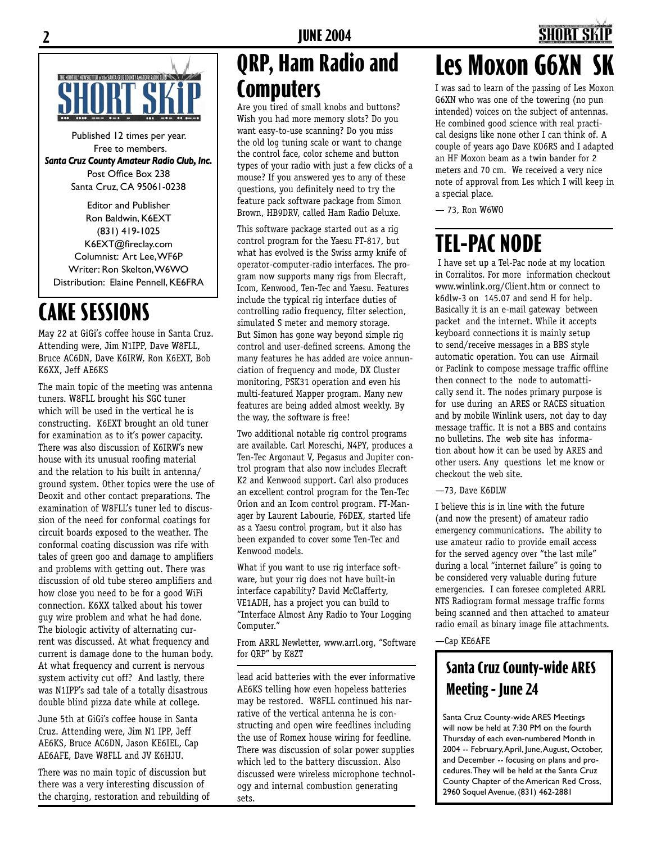

Published 12 times per year. Free to members. *Santa Cruz County Amateur Radio Club, Inc.* Post Office Box 238 Santa Cruz, CA 95061-0238

Editor and Publisher Ron Baldwin, K6EXT (831) 419-1025 K6EXT@fireclay.com Columnist: Art Lee, WF6P Writer: Ron Skelton, W6WO Distribution: Elaine Pennell, KE6FRA

### **CAKE SESSIONS**

May 22 at GiGi's coffee house in Santa Cruz. Attending were, Jim N1IPP, Dave W8FLL, Bruce AC6DN, Dave K6IRW, Ron K6EXT, Bob K6XX, Jeff AE6KS

The main topic of the meeting was antenna tuners. W8FLL brought his SGC tuner which will be used in the vertical he is constructing. K6EXT brought an old tuner for examination as to it's power capacity. There was also discussion of K6IRW's new house with its unusual roofing material and the relation to his built in antenna/ ground system. Other topics were the use of Deoxit and other contact preparations. The examination of W8FLL's tuner led to discussion of the need for conformal coatings for circuit boards exposed to the weather. The conformal coating discussion was rife with tales of green goo and damage to amplifiers and problems with getting out. There was discussion of old tube stereo amplifiers and how close you need to be for a good WiFi connection. K6XX talked about his tower guy wire problem and what he had done. The biologic activity of alternating current was discussed. At what frequency and current is damage done to the human body. At what frequency and current is nervous system activity cut off? And lastly, there was N1IPP's sad tale of a totally disastrous double blind pizza date while at college.

June 5th at GiGi's coffee house in Santa Cruz. Attending were, Jim N1 IPP, Jeff AE6KS, Bruce AC6DN, Jason KE6IEL, Cap AE6AFE, Dave W8FLL and JV K6HJU.

There was no main topic of discussion but there was a very interesting discussion of the charging, restoration and rebuilding of

### **QRP, Ham Radio and Computers**

Are you tired of small knobs and buttons? Wish you had more memory slots? Do you want easy-to-use scanning? Do you miss the old log tuning scale or want to change the control face, color scheme and button types of your radio with just a few clicks of a mouse? If you answered yes to any of these questions, you definitely need to try the feature pack software package from Simon Brown, HB9DRV, called Ham Radio Deluxe.

This software package started out as a rig control program for the Yaesu FT-817, but what has evolved is the Swiss army knife of operator-computer-radio interfaces. The program now supports many rigs from Elecraft, Icom, Kenwood, Ten-Tec and Yaesu. Features include the typical rig interface duties of controlling radio frequency, filter selection, simulated S meter and memory storage. But Simon has gone way beyond simple rig control and user-defined screens. Among the many features he has added are voice annunciation of frequency and mode, DX Cluster monitoring, PSK31 operation and even his multi-featured Mapper program. Many new features are being added almost weekly. By the way, the software is free!

Two additional notable rig control programs are available. Carl Moreschi, N4PY, produces a Ten-Tec Argonaut V, Pegasus and Jupiter control program that also now includes Elecraft K2 and Kenwood support. Carl also produces an excellent control program for the Ten-Tec Orion and an Icom control program. FT-Manager by Laurent Labourie, F6DEX, started life as a Yaesu control program, but it also has been expanded to cover some Ten-Tec and Kenwood models.

What if you want to use rig interface software, but your rig does not have built-in interface capability? David McClafferty, VE1ADH, has a project you can build to "Interface Almost Any Radio to Your Logging Computer."

From ARRL Newletter, www.arrl.org, "Software for QRP" by K8ZT

lead acid batteries with the ever informative AE6KS telling how even hopeless batteries may be restored. W8FLL continued his narrative of the vertical antenna he is constructing and open wire feedlines including the use of Romex house wiring for feedline. There was discussion of solar power supplies which led to the battery discussion. Also discussed were wireless microphone technology and internal combustion generating sets.

## **Les Moxon G6XN**

I was sad to learn of the passing of Les Moxon G6XN who was one of the towering (no pun intended) voices on the subject of antennas. He combined good science with real practical designs like none other I can think of. A couple of years ago Dave KO6RS and I adapted an HF Moxon beam as a twin bander for 2 meters and 70 cm. We received a very nice note of approval from Les which I will keep in a special place.

— 73, Ron W6WO

### **TEL-PAC NODE**

 I have set up a Tel-Pac node at my location in Corralitos. For more information checkout www.winlink.org/Client.htm or connect to k6dlw-3 on 145.07 and send H for help. Basically it is an e-mail gateway between packet and the internet. While it accepts keyboard connections it is mainly setup to send/receive messages in a BBS style automatic operation. You can use Airmail or Paclink to compose message traffic offline then connect to the node to automattically send it. The nodes primary purpose is for use during an ARES or RACES situation and by mobile Winlink users, not day to day message traffic. It is not a BBS and contains no bulletins. The web site has information about how it can be used by ARES and other users. Any questions let me know or checkout the web site.

—73, Dave K6DLW

I believe this is in line with the future (and now the present) of amateur radio emergency communications. The ability to use amateur radio to provide email access for the served agency over "the last mile" during a local "internet failure" is going to be considered very valuable during future emergencies. I can foresee completed ARRL NTS Radiogram formal message traffic forms being scanned and then attached to amateur radio email as binary image file attachments.

—Cap KE6AFE

#### **Santa Cruz County-wide ARES Meeting - June 24**

Santa Cruz County-wide ARES Meetings will now be held at 7:30 PM on the fourth Thursday of each even-numbered Month in 2004 -- February, April, June, August, October, and December -- focusing on plans and procedures. They will be held at the Santa Cruz County Chapter of the American Red Cross, 2960 Soquel Avenue, (831) 462-2881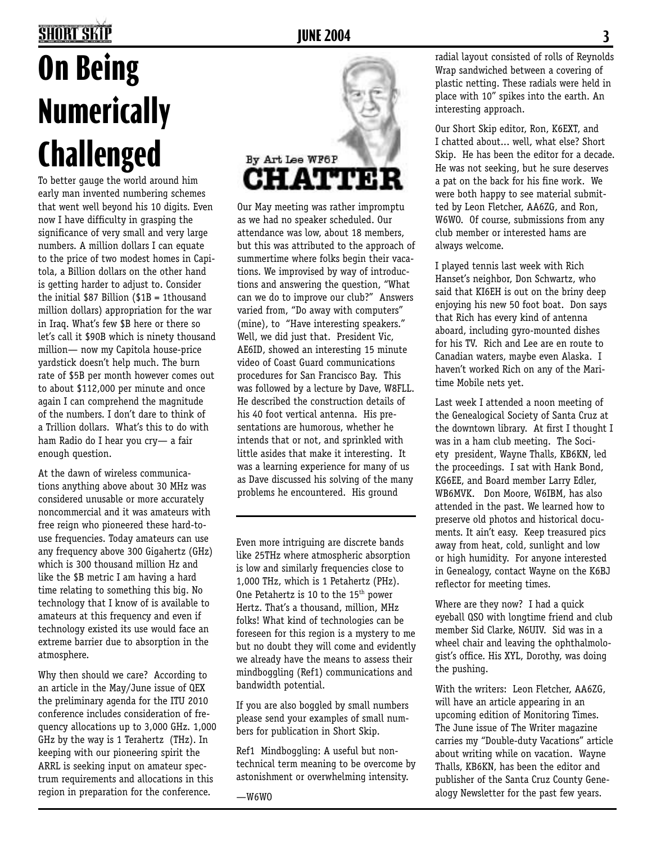### **2 JUNE 2004 3**

# **On Being Numerically Challenged**

To better gauge the world around him early man invented numbering schemes that went well beyond his 10 digits. Even now I have difficulty in grasping the significance of very small and very large numbers. A million dollars I can equate to the price of two modest homes in Capitola, a Billion dollars on the other hand is getting harder to adjust to. Consider the initial \$87 Billion (\$1B = 1thousand million dollars) appropriation for the war in Iraq. What's few \$B here or there so let's call it \$90B which is ninety thousand million— now my Capitola house-price yardstick doesn't help much. The burn rate of \$5B per month however comes out to about \$112,000 per minute and once again I can comprehend the magnitude of the numbers. I don't dare to think of a Trillion dollars. What's this to do with ham Radio do I hear you cry— a fair enough question.

At the dawn of wireless communications anything above about 30 MHz was considered unusable or more accurately noncommercial and it was amateurs with free reign who pioneered these hard-touse frequencies. Today amateurs can use any frequency above 300 Gigahertz (GHz) which is 300 thousand million Hz and like the \$B metric I am having a hard time relating to something this big. No technology that I know of is available to amateurs at this frequency and even if technology existed its use would face an extreme barrier due to absorption in the atmosphere.

Why then should we care? According to an article in the May/June issue of QEX the preliminary agenda for the ITU 2010 conference includes consideration of frequency allocations up to 3,000 GHz. 1,000 GHz by the way is 1 Terahertz (THz). In keeping with our pioneering spirit the ARRL is seeking input on amateur spectrum requirements and allocations in this region in preparation for the conference.



Our May meeting was rather impromptu as we had no speaker scheduled. Our attendance was low, about 18 members, but this was attributed to the approach of summertime where folks begin their vacations. We improvised by way of introductions and answering the question, "What can we do to improve our club?" Answers varied from, "Do away with computers" (mine), to "Have interesting speakers." Well, we did just that. President Vic, AE6ID, showed an interesting 15 minute video of Coast Guard communications procedures for San Francisco Bay. This was followed by a lecture by Dave, W8FLL. He described the construction details of his 40 foot vertical antenna. His presentations are humorous, whether he intends that or not, and sprinkled with little asides that make it interesting. It was a learning experience for many of us as Dave discussed his solving of the many problems he encountered. His ground

Even more intriguing are discrete bands like 25THz where atmospheric absorption is low and similarly frequencies close to 1,000 THz, which is 1 Petahertz (PHz). One Petahertz is 10 to the 15<sup>th</sup> power Hertz. That's a thousand, million, MHz folks! What kind of technologies can be foreseen for this region is a mystery to me but no doubt they will come and evidently we already have the means to assess their mindboggling (Ref1) communications and bandwidth potential.

If you are also boggled by small numbers please send your examples of small numbers for publication in Short Skip.

Ref1 Mindboggling: A useful but nontechnical term meaning to be overcome by astonishment or overwhelming intensity.

—W6WO

radial layout consisted of rolls of Reynolds Wrap sandwiched between a covering of plastic netting. These radials were held in place with 10" spikes into the earth. An interesting approach.

Our Short Skip editor, Ron, K6EXT, and I chatted about... well, what else? Short Skip. He has been the editor for a decade. He was not seeking, but he sure deserves a pat on the back for his fine work. We were both happy to see material submitted by Leon Fletcher, AA6ZG, and Ron, W6WO. Of course, submissions from any club member or interested hams are always welcome.

I played tennis last week with Rich Hanset's neighbor, Don Schwartz, who said that KI6EH is out on the briny deep enjoying his new 50 foot boat. Don says that Rich has every kind of antenna aboard, including gyro-mounted dishes for his TV. Rich and Lee are en route to Canadian waters, maybe even Alaska. I haven't worked Rich on any of the Maritime Mobile nets yet.

Last week I attended a noon meeting of the Genealogical Society of Santa Cruz at the downtown library. At first I thought I was in a ham club meeting. The Society president, Wayne Thalls, KB6KN, led the proceedings. I sat with Hank Bond, KG6EE, and Board member Larry Edler, WB6MVK. Don Moore, W6IBM, has also attended in the past. We learned how to preserve old photos and historical documents. It ain't easy. Keep treasured pics away from heat, cold, sunlight and low or high humidity. For anyone interested in Genealogy, contact Wayne on the K6BJ reflector for meeting times.

Where are they now? I had a quick eyeball QSO with longtime friend and club member Sid Clarke, N6UIV. Sid was in a wheel chair and leaving the ophthalmologist's office. His XYL, Dorothy, was doing the pushing.

With the writers: Leon Fletcher, AA6ZG, will have an article appearing in an upcoming edition of Monitoring Times. The June issue of The Writer magazine carries my "Double-duty Vacations" article about writing while on vacation. Wayne Thalls, KB6KN, has been the editor and publisher of the Santa Cruz County Genealogy Newsletter for the past few years.